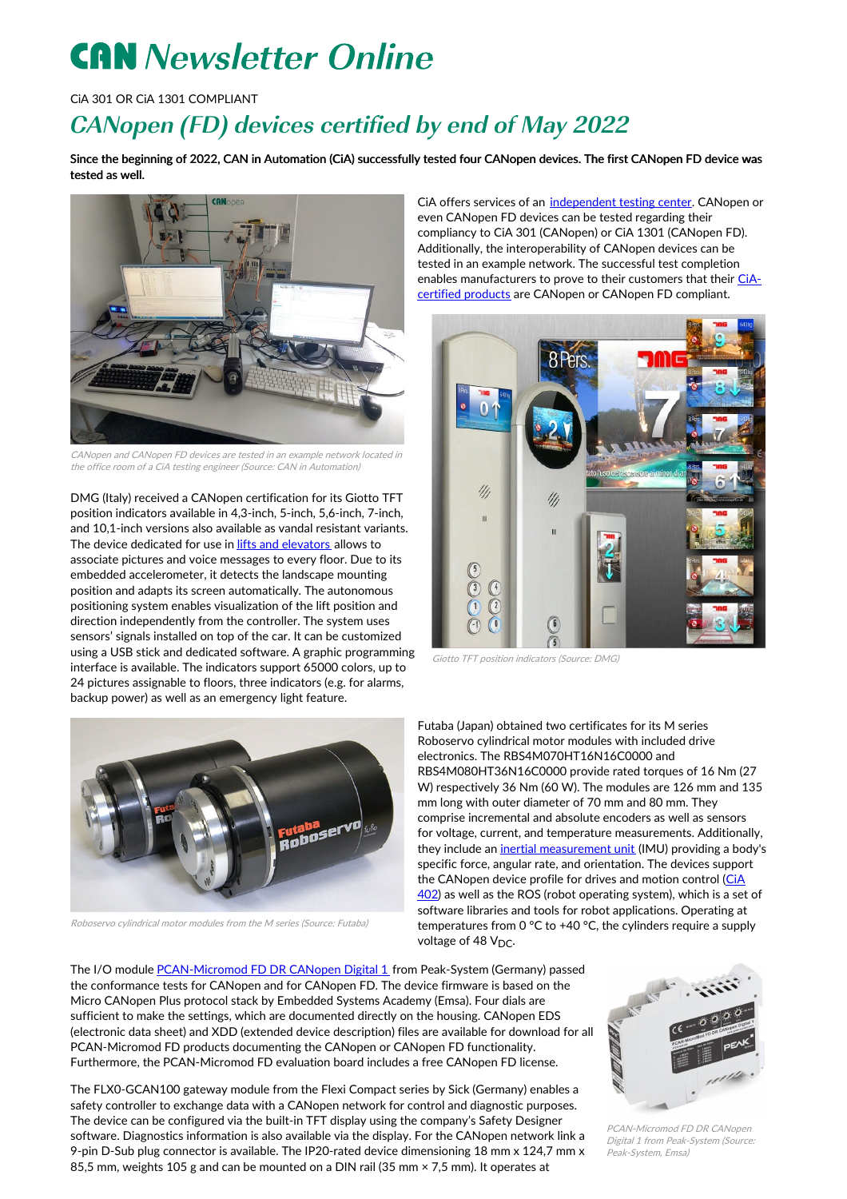## **CAN** Newsletter Online

CiA 301 OR CiA 1301 COMPLIANT

## CANopen (FD) devices certified by end of May 2022

Since the beginning of 2022, CAN in Automation (CiA) successfully tested four CANopen devices. The first CANopen FD device was tested as well.



CANopen and CANopen FD devices are tested in an example network located in the office room of <sup>a</sup> CiA testing engineer (Source: CAN in Automation)

DMG (Italy) received a CANopen certification for its Giotto TFT position indicators available in 4,3-inch, 5-inch, 5,6-inch, 7-inch, and 10,1-inch versions also available as vandal resistant variants. The device dedicated for use in *lifts and [elevators](https://www.can-cia.org/can-knowledge/canopen/cia417/)* allows to associate pictures and voice messages to every floor. Due to its embedded accelerometer, it detects the landscape mounting position and adapts its screen automatically. The autonomous positioning system enables visualization of the lift position and direction independently from the controller. The system uses sensors' signals installed on top of the car. It can be customized using a USB stick and dedicated software. A graphic programming interface is available. The indicators support 65000 colors, up to 24 pictures assignable to floors, three indicators (e.g. for alarms, backup power) as well as an emergency light feature.

CiA offers services of an [independent](https://www.can-cia.org/services/test-center/) testing center. CANopen or even CANopen FD devices can be tested regarding their compliancy to CiA 301 (CANopen) or CiA 1301 (CANopen FD). Additionally, the interoperability of CANopen devices can be tested in an example network. The successful test completion enables [manufacturers](https://can-cia.org/services/test-center/conformance-testing/tested-devices/) to prove to their customers that their CiAcertified products are CANopen or CANopen FD compliant.



Giotto TFT position indicators (Source: DMG)



Roboservo cylindrical motor modules from the M series (Source: Futaba)

Futaba (Japan) obtained two certificates for its M series Roboservo cylindrical motor modules with included drive electronics. The RBS4M070HT16N16C0000 and RBS4M080HT36N16C0000 provide rated torques of 16 Nm (27 W) respectively 36 Nm (60 W). The modules are 126 mm and 135 mm long with outer diameter of 70 mm and 80 mm. They comprise incremental and absolute encoders as well as sensors for voltage, current, and temperature measurements. Additionally, they include an inertial [measurement](https://can-newsletter.org/hardware/sensors/200302_sensor-fusion-inertial-measurement-units_cnlm) unit (IMU) providing a body's specific force, angular rate, and orientation. The devices support the [CANopen](https://can-cia.org/can-knowledge/canopen/cia402/) device profile for drives and motion control (CiA 402) as well as the ROS (robot operating system), which is a set of software libraries and tools for robot applications. Operating at temperatures from 0 °C to +40 °C, the cylinders require a supply voltage of 48 V<sub>DC</sub>.

The I/O module [PCAN-Micromod](https://can-newsletter.org/hardware/io-modules/220325_canopen-fd-conformance-test-passed_peak-emsa) FD DR CANopen Digital 1 from Peak-System (Germany) passed the conformance tests for CANopen and for CANopen FD. The device firmware is based on the Micro CANopen Plus protocol stack by Embedded Systems Academy (Emsa). Four dials are sufficient to make the settings, which are documented directly on the housing. CANopen EDS (electronic data sheet) and XDD (extended device description) files are available for download for all PCAN-Micromod FD products documenting the CANopen or CANopen FD functionality. Furthermore, the PCAN-Micromod FD evaluation board includes a free CANopen FD license.

The FLX0-GCAN100 gateway module from the Flexi Compact series by Sick (Germany) enables a safety controller to exchange data with a CANopen network for control and diagnostic purposes. The device can be configured via the built-in TFT display using the company's Safety Designer software. Diagnostics information is also available via the display. For the CANopen network link a 9-pin D-Sub plug connector is available. The IP20-rated device dimensioning 18 mm x 124,7 mm x 85,5 mm, weights 105 g and can be mounted on a DIN rail (35 mm × 7,5 mm). It operates at



PCAN-Micromod FD DR CANopen Digital 1 from Peak-System (Source: Peak-System, Emsa)